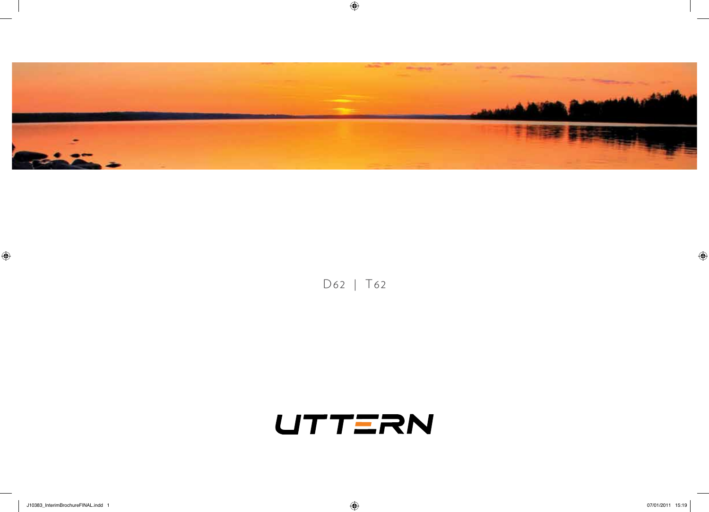

D62 | T62

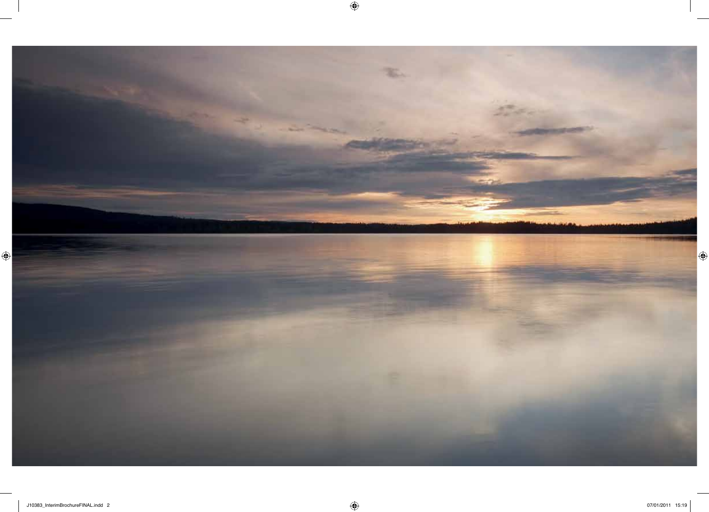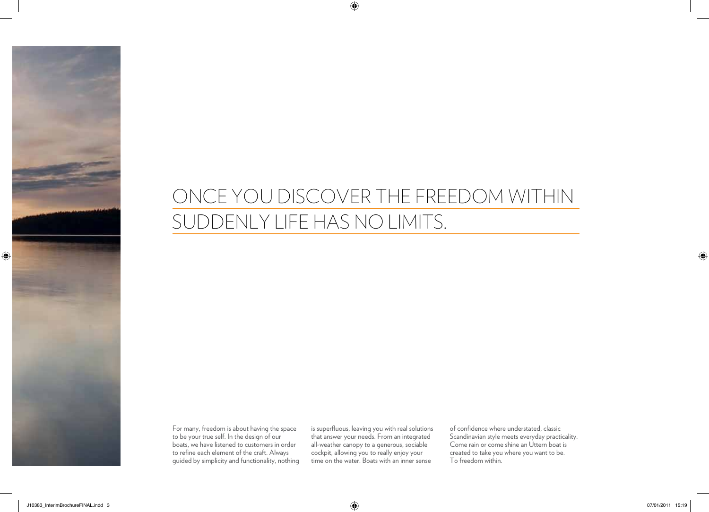## ONCE YOU DISCOVER THE FREEDOM WITHIN SUDDENLY LIFE HAS NO LIMITS.

For many, freedom is about having the space to be your true self. In the design of our boats, we have listened to customers in order to refine each element of the craft. Always guided by simplicity and functionality, nothing is superfluous, leaving you with real solutions that answer your needs. From an integrated all-weather canopy to a generous, sociable cockpit, allowing you to really enjoy your time on the water. Boats with an inner sense

of confidence where understated, classic Scandinavian style meets everyday practicality. Come rain or come shine an Uttern boat is created to take you where you want to be. To freedom within.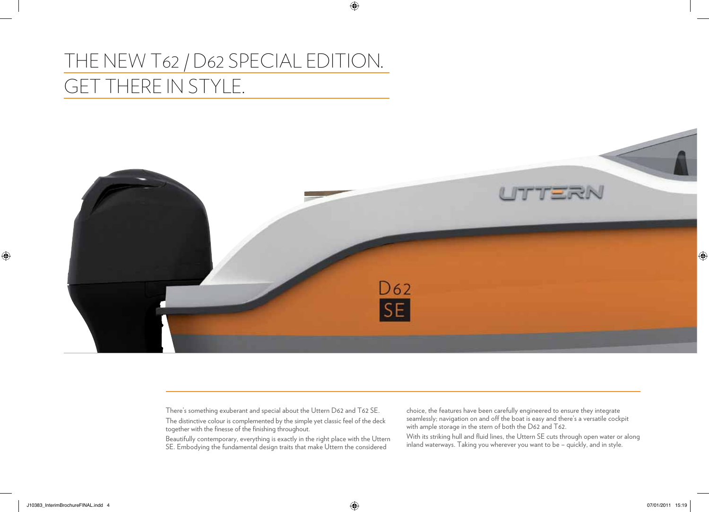## THE NEW T62 / D62 SPECIAL EDITION. GET THERE IN STYLE.



There's something exuberant and special about the Uttern D62 and T62 SE. The distinctive colour is complemented by the simple yet classic feel of the deck together with the finesse of the finishing throughout.

Beautifully contemporary, everything is exactly in the right place with the Uttern SE. Embodying the fundamental design traits that make Uttern the considered

choice, the features have been carefully engineered to ensure they integrate seamlessly; navigation on and off the boat is easy and there's a versatile cockpit with ample storage in the stern of both the D62 and T62.

With its striking hull and fluid lines, the Uttern SE cuts through open water or along inland waterways. Taking you wherever you want to be – quickly, and in style.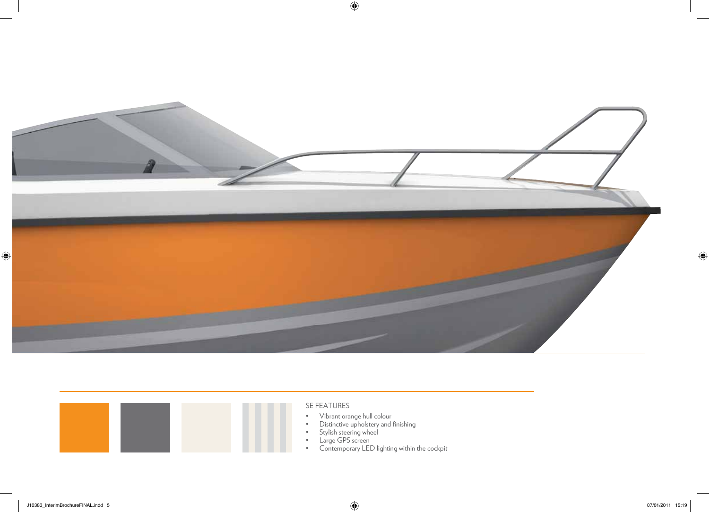



### SE FEATURES

- Vibrant orange hull colour
- Distinctive upholstery and finishing
- Stylish steering wheel
- Large GPS screen
- Contemporary LED lighting within the cockpit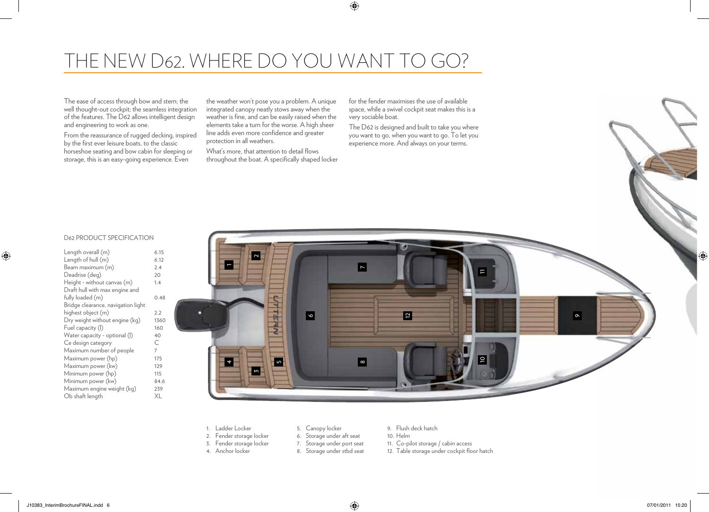### THE NEW D62. WHERE DO YOU WANT TO GO?

The ease of access through bow and stern; the well thought-out cockpit; the seamless integration of the features. The D62 allows intelligent design and engineering to work as one.

From the reassurance of rugged decking, inspired by the first ever leisure boats, to the classic horseshoe seating and bow cabin for sleeping or storage, this is an easy-going experience. Even

the weather won't pose you a problem. A unique integrated canopy neatly stows away when the weather is fine, and can be easily raised when the elements take a turn for the worse. A high sheer line adds even more confidence and greater protection in all weathers.

What's more, that attention to detail flows throughout the boat. A specifically shaped locker

for the fender maximises the use of available space, while a swivel cockpit seat makes this is a very sociable boat.

The D62 is designed and built to take you where you want to go, when you want to go. To let you experience more. And always on your terms.

#### D62 PRODUCT SPECIFICATION

| Length overall (m)                 | 6.15           |
|------------------------------------|----------------|
| Length of hull (m)                 | 6.12           |
| Beam maximum (m)                   | 2.4            |
| Deadrise (deg)                     | 20             |
| Height - without canvas (m)        | 1.4            |
| Draft hull with max engine and     |                |
| fully loaded (m)                   | 0.48           |
| Bridge clearance, navigation light |                |
| highest object (m)                 | 2.2            |
| Dry weight without engine (kg)     | 1360           |
| Fuel capacity (I)                  | 160            |
| Water capacity - optional (I)      | 40             |
| Ce design category                 | С              |
| Maximum number of people           | $\overline{7}$ |
| Maximum power (hp)                 | 175            |
| Maximum power (kw)                 | 129            |
| Minimum power (hp)                 | 115            |
| Minimum power (kw)                 | 84.6           |
| Maximum engine weight (kg)         | 239            |
| Ob shaft length                    | ХL             |



- 1. Ladder Locker
- 2. Fender storage locker
- 3. Fender storage locker
- 4. Anchor locker
- 5. Canopy locker
- 6. Storage under aft seat
	- 7. Storage under port seat
	- 8. Storage under stbd seat
- 9. Flush deck hatch
- 10. Helm
- 11. Co-pilot storage / cabin access
- 12. Table storage under cockpit floor hatch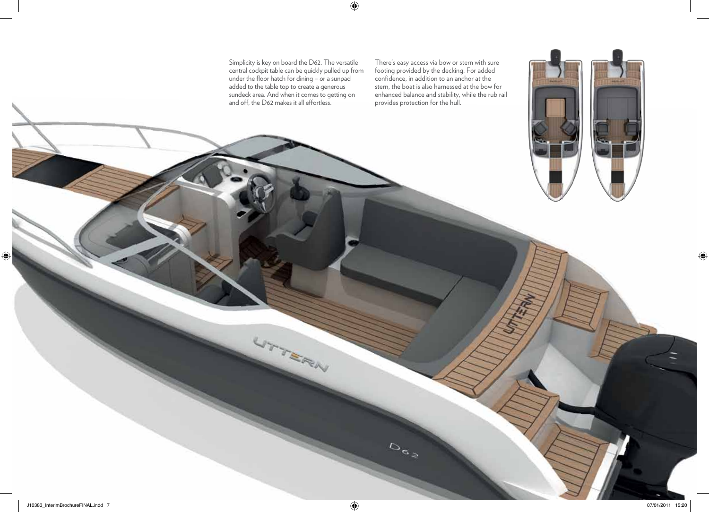Simplicity is key on board the D62. The versatile central cockpit table can be quickly pulled up from under the floor hatch for dining – or a sunpad added to the table top to create a generous sundeck area. And when it comes to getting on and off, the D62 makes it all effortless.

TERN

There's easy access via bow or stern with sure footing provided by the decking. For added confidence, in addition to an anchor at the stern, the boat is also harnessed at the bow for enhanced balance and stability, while the rub rail provides protection for the hull.

 $\varphi^{\varphi^{\circ}}$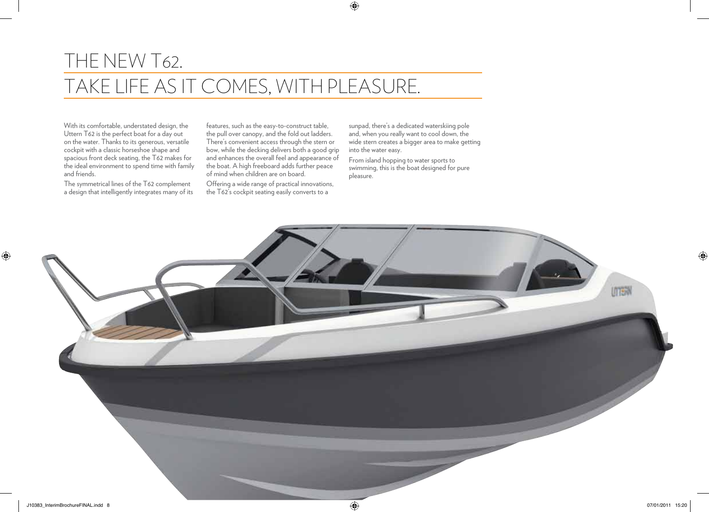## THE NEW T62. TAKE LIFE AS IT COMES, WITH PLEASURE.

With its comfortable, understated design, the Uttern T62 is the perfect boat for a day out on the water. Thanks to its generous, versatile cockpit with a classic horseshoe shape and spacious front deck seating, the T62 makes for the ideal environment to spend time with family and friends.

The symmetrical lines of the T62 complement a design that intelligently integrates many of its

features, such as the easy-to-construct table, the pull over canopy, and the fold out ladders. There's convenient access through the stern or bow, while the decking delivers both a good grip and enhances the overall feel and appearance of the boat. A high freeboard adds further peace of mind when children are on board.

Offering a wide range of practical innovations, the T62's cockpit seating easily converts to a

sunpad, there's a dedicated waterskiing pole and, when you really want to cool down, the wide stern creates a bigger area to make getting into the water easy.

From island hopping to water sports to swimming, this is the boat designed for pure pleasure.

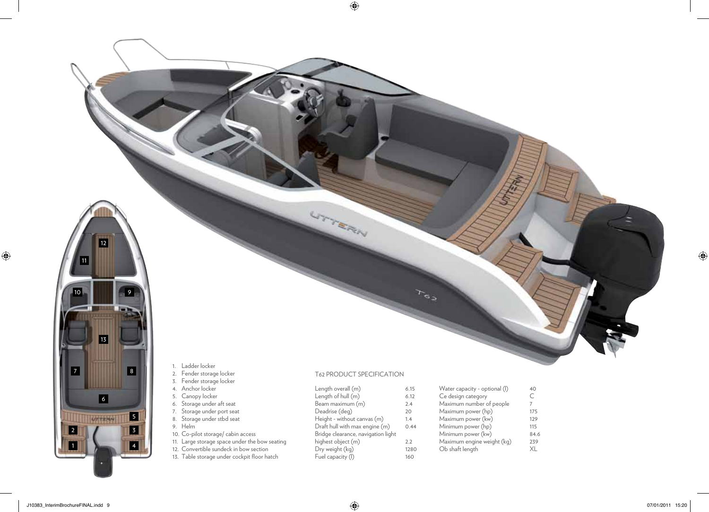

- 1. Ladder locker
- 2. Fender storage locker
- 3. Fender storage locker 4. Anchor locker
- 
- 5. Canopy locker
- 6. Storage under aft seat 7. Storage under port seat
- 8. Storage under stbd seat
- 9. Helm

1

7

2 3

**UTTERN** 

6

5

4

- 10. Co-pilot storage/ cabin access
- 11. Large storage space under the bow seating
- 12. Convertible sundeck in bow section
- 13. Table storage under cockpit floor hatch

#### T62 PRODUCT SPECIFICATION

| Length overall (m)                 | 6.15 | Water ca |
|------------------------------------|------|----------|
| Length of hull (m)                 | 6.12 | Ce desig |
| Beam maximum (m)                   | 2.4  | Maximur  |
| Deadrise (deg)                     | 20   | Maximur  |
| Height - without canvas (m)        | 1.4  | Maximur  |
| Draft hull with max engine (m)     | 0.44 | Minimun  |
| Bridge clearance, navigation light |      | Minimun  |
| highest object (m)                 | 2.2  | Maximur  |
| Dry weight (kg)                    | 1280 | Ob shaft |
| Fuel capacity (I)                  | 160  |          |
|                                    |      |          |

| Water capacity - optional (I) | 40             |
|-------------------------------|----------------|
| Ce design category            | С              |
| Maximum number of people      | $\overline{7}$ |
| Maximum power (hp)            | 175            |
| Maximum power (kw)            | 129            |
| Minimum power (hp)            | 115            |
| Minimum power (kw)            | 846            |
| Maximum engine weight (kg)    | 239            |
| Ob shaft length               | ΧL             |
|                               |                |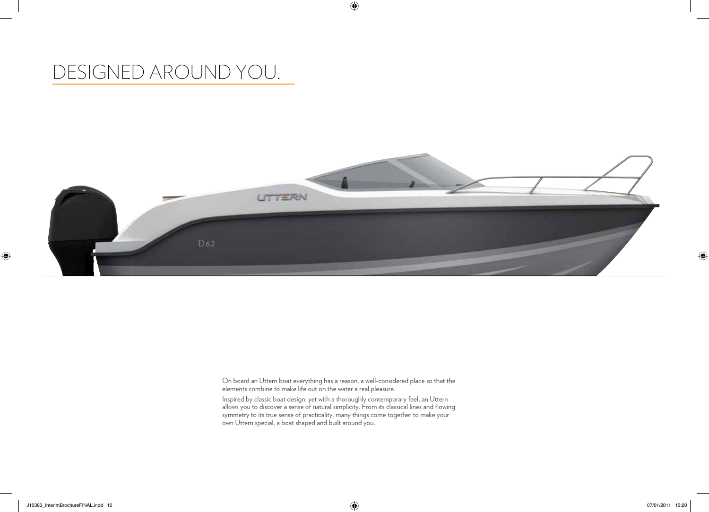### DESIGNED AROUND YOU.



On board an Uttern boat everything has a reason, a well-considered place so that the elements combine to make life out on the water a real pleasure.

Inspired by classic boat design, yet with a thoroughly contemporary feel, an Uttern allows you to discover a sense of natural simplicity. From its classical lines and flowing symmetry to its true sense of practicality, many things come together to make your own Uttern special, a boat shaped and built around you.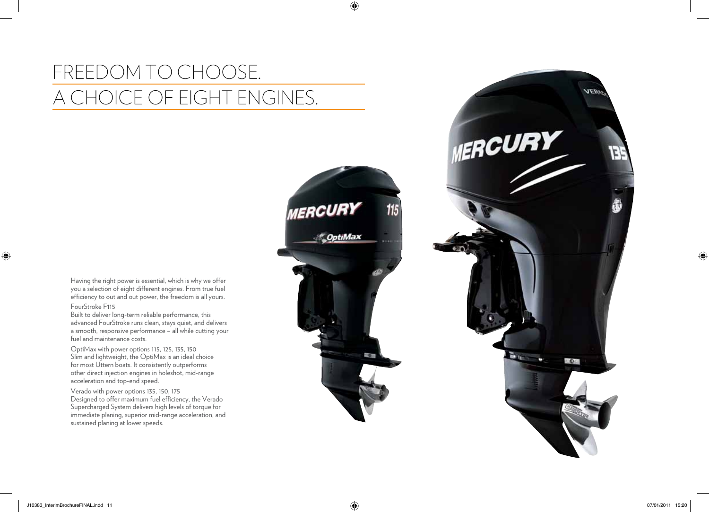# FREEDOM TO CHOOSE. A CHOICE OF EIGHT ENGINES.

Having the right power is essential, which is why we offer you a selection of eight different engines. From true fuel efficiency to out and out power, the freedom is all yours.

#### FourStroke F115

Built to deliver long-term reliable performance, this advanced FourStroke runs clean, stays quiet, and delivers a smooth, responsive performance – all while cutting your fuel and maintenance costs.

OptiMax with power options 115, 125, 135, 150 Slim and lightweight, the OptiMax is an ideal choice for most Uttern boats. It consistently outperforms other direct injection engines in holeshot, mid-range acceleration and top-end speed.

Verado with power options 135, 150, 175 Designed to offer maximum fuel efficiency, the Verado Supercharged System delivers high levels of torque for immediate planing, superior mid-range acceleration, and sustained planing at lower speeds.